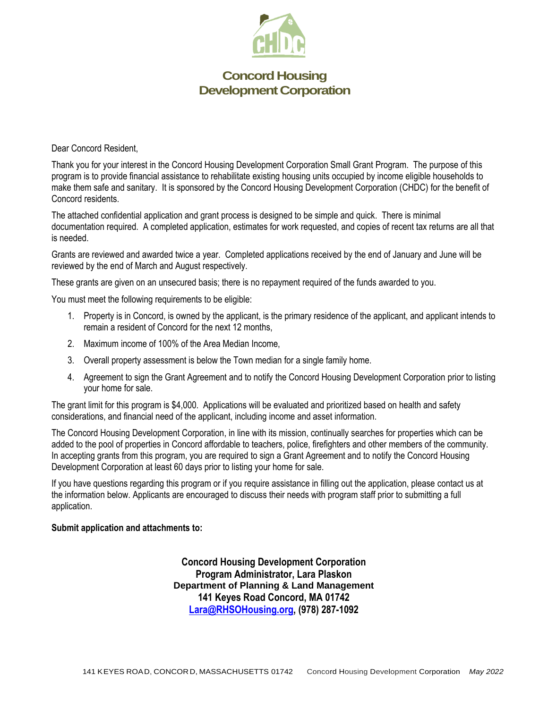

Dear Concord Resident,

Thank you for your interest in the Concord Housing Development Corporation Small Grant Program. The purpose of this program is to provide financial assistance to rehabilitate existing housing units occupied by income eligible households to make them safe and sanitary. It is sponsored by the Concord Housing Development Corporation (CHDC) for the benefit of Concord residents.

The attached confidential application and grant process is designed to be simple and quick. There is minimal documentation required. A completed application, estimates for work requested, and copies of recent tax returns are all that is needed.

Grants are reviewed and awarded twice a year. Completed applications received by the end of January and June will be reviewed by the end of March and August respectively.

These grants are given on an unsecured basis; there is no repayment required of the funds awarded to you.

You must meet the following requirements to be eligible:

- 1. Property is in Concord, is owned by the applicant, is the primary residence of the applicant, and applicant intends to remain a resident of Concord for the next 12 months,
- 2. Maximum income of 100% of the Area Median Income,
- 3. Overall property assessment is below the Town median for a single family home.
- 4. Agreement to sign the Grant Agreement and to notify the Concord Housing Development Corporation prior to listing your home for sale.

The grant limit for this program is \$4,000. Applications will be evaluated and prioritized based on health and safety considerations, and financial need of the applicant, including income and asset information.

The Concord Housing Development Corporation, in line with its mission, continually searches for properties which can be added to the pool of properties in Concord affordable to teachers, police, firefighters and other members of the community. In accepting grants from this program, you are required to sign a Grant Agreement and to notify the Concord Housing Development Corporation at least 60 days prior to listing your home for sale.

If you have questions regarding this program or if you require assistance in filling out the application, please contact us at the information below. Applicants are encouraged to discuss their needs with program staff prior to submitting a full application.

#### **Submit application and attachments to:**

**Concord Housing Development Corporation Program Administrator, Lara Plaskon Department of Planning & Land Management 141 Keyes Road Concord, MA 01742 [Lara@RHSOHousing.org,](mailto:Lara@RHSOHousing.org) (978) 287-1092**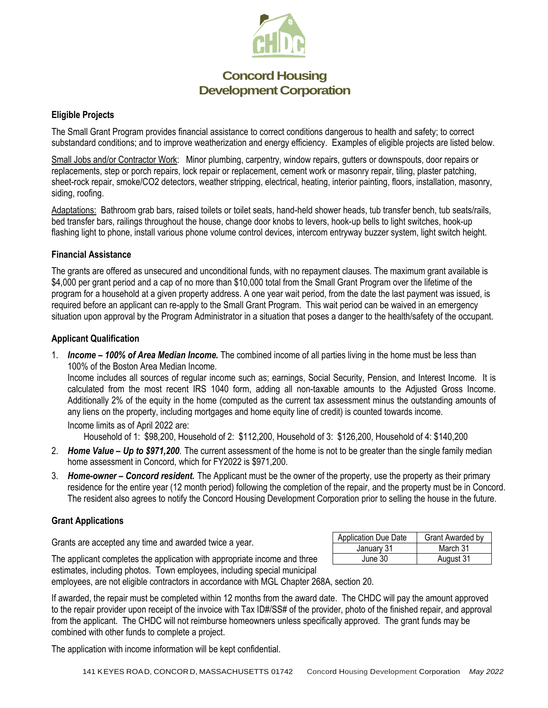

#### **Eligible Projects**

The Small Grant Program provides financial assistance to correct conditions dangerous to health and safety; to correct substandard conditions; and to improve weatherization and energy efficiency. Examples of eligible projects are listed below.

Small Jobs and/or Contractor Work: Minor plumbing, carpentry, window repairs, gutters or downspouts, door repairs or replacements, step or porch repairs, lock repair or replacement, cement work or masonry repair, tiling, plaster patching, sheet-rock repair, smoke/CO2 detectors, weather stripping, electrical, heating, interior painting, floors, installation, masonry, siding, roofing.

Adaptations: Bathroom grab bars, raised toilets or toilet seats, hand-held shower heads, tub transfer bench, tub seats/rails, bed transfer bars, railings throughout the house, change door knobs to levers, hook-up bells to light switches, hook-up flashing light to phone, install various phone volume control devices, intercom entryway buzzer system, light switch height.

#### **Financial Assistance**

The grants are offered as unsecured and unconditional funds, with no repayment clauses. The maximum grant available is \$4,000 per grant period and a cap of no more than \$10,000 total from the Small Grant Program over the lifetime of the program for a household at a given property address. A one year wait period, from the date the last payment was issued, is required before an applicant can re-apply to the Small Grant Program. This wait period can be waived in an emergency situation upon approval by the Program Administrator in a situation that poses a danger to the health/safety of the occupant.

#### **Applicant Qualification**

1. *Income – 100% of Area Median Income.* The combined income of all parties living in the home must be less than 100% of the Boston Area Median Income.

Income includes all sources of regular income such as; earnings, Social Security, Pension, and Interest Income. It is calculated from the most recent IRS 1040 form, adding all non-taxable amounts to the Adjusted Gross Income. Additionally 2% of the equity in the home (computed as the current tax assessment minus the outstanding amounts of any liens on the property, including mortgages and home equity line of credit) is counted towards income. Income limits as of April 2022 are:

Household of 1: \$98,200, Household of 2: \$112,200, Household of 3: \$126,200, Household of 4: \$140,200

- 2. *Home Value – Up to \$971,200*. The current assessment of the home is not to be greater than the single family median home assessment in Concord, which for FY2022 is \$971,200.
- 3. *Home-owner – Concord resident.* The Applicant must be the owner of the property, use the property as their primary residence for the entire year (12 month period) following the completion of the repair, and the property must be in Concord. The resident also agrees to notify the Concord Housing Development Corporation prior to selling the house in the future.

#### **Grant Applications**

Grants are accepted any time and awarded twice a year.

| <b>Application Due Date</b> | <b>Grant Awarded by</b> |
|-----------------------------|-------------------------|
| January 31                  | March 31                |
| June 30                     | August 31               |

The applicant completes the application with appropriate income and three estimates, including photos. Town employees, including special municipal employees, are not eligible contractors in accordance with MGL Chapter 268A, section 20.

If awarded, the repair must be completed within 12 months from the award date. The CHDC will pay the amount approved to the repair provider upon receipt of the invoice with Tax ID#/SS# of the provider, photo of the finished repair, and approval from the applicant. The CHDC will not reimburse homeowners unless specifically approved. The grant funds may be combined with other funds to complete a project.

The application with income information will be kept confidential.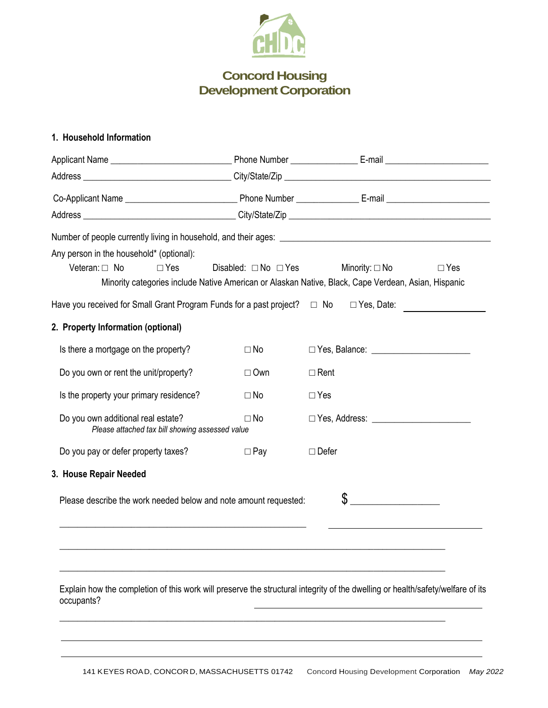

### **1. Household Information**

| Any person in the household* (optional):                                                                                                     |                                |                                               |            |
|----------------------------------------------------------------------------------------------------------------------------------------------|--------------------------------|-----------------------------------------------|------------|
| Veteran: $\Box$ No<br>$\Box$ Yes                                                                                                             | Disabled: $\Box$ No $\Box$ Yes | Minority: $\square$ No                        | $\Box$ Yes |
| Minority categories include Native American or Alaskan Native, Black, Cape Verdean, Asian, Hispanic                                          |                                |                                               |            |
| Have you received for Small Grant Program Funds for a past project? $\Box$ No                                                                |                                | $\Box$ Yes, Date:                             |            |
| 2. Property Information (optional)                                                                                                           |                                |                                               |            |
| Is there a mortgage on the property?                                                                                                         | $\Box$ No                      |                                               |            |
| Do you own or rent the unit/property?                                                                                                        | $\Box$ Own                     | $\Box$ Rent                                   |            |
| Is the property your primary residence?                                                                                                      | $\square$ No                   | $\Box$ Yes                                    |            |
| Do you own additional real estate?<br>Please attached tax bill showing assessed value                                                        | $\Box$ No                      |                                               |            |
| Do you pay or defer property taxes?                                                                                                          | $\Box$ Pay                     | $\Box$ Defer                                  |            |
| 3. House Repair Needed                                                                                                                       |                                |                                               |            |
| Please describe the work needed below and note amount requested:                                                                             |                                | \$<br><u> 1999 - Johann Barbara, martin a</u> |            |
|                                                                                                                                              |                                |                                               |            |
|                                                                                                                                              |                                |                                               |            |
|                                                                                                                                              |                                |                                               |            |
| Explain how the completion of this work will preserve the structural integrity of the dwelling or health/safety/welfare of its<br>occupants? |                                |                                               |            |
|                                                                                                                                              |                                |                                               |            |